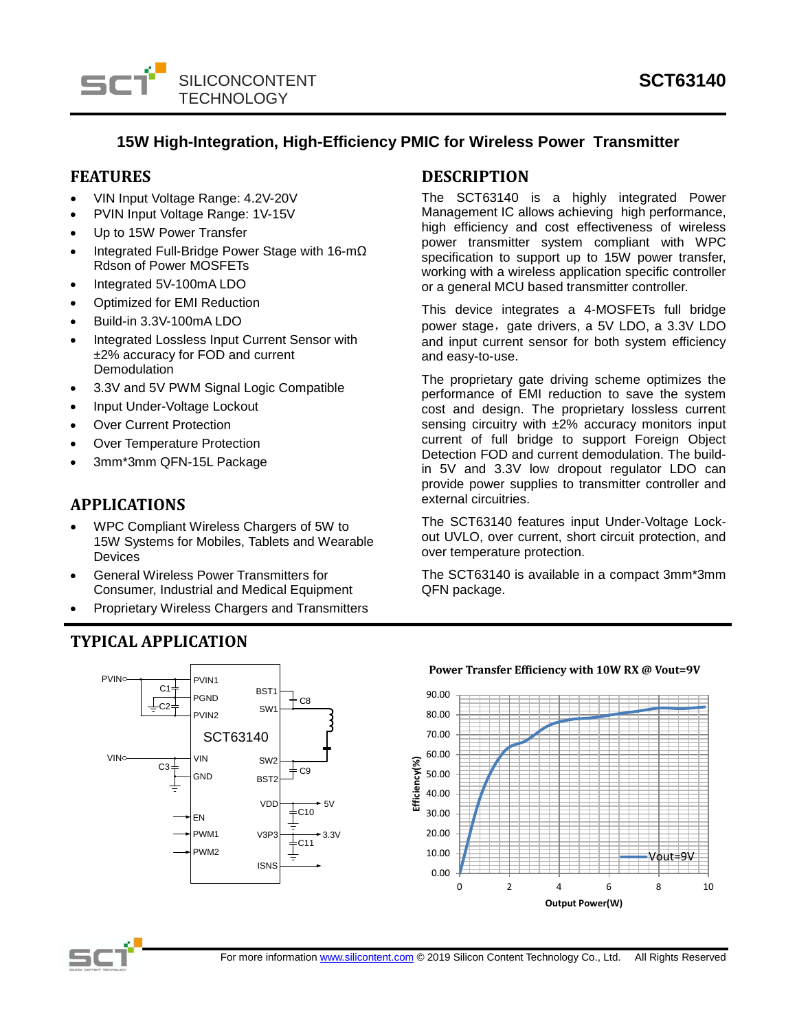

## **15W High-Integration, High-Efficiency PMIC for Wireless Power Transmitter**

## **FEATURES**

- VIN Input Voltage Range: 4.2V-20V
- PVIN Input Voltage Range: 1V-15V
- Up to 15W Power Transfer
- Integrated Full-Bridge Power Stage with 16-mΩ Rdson of Power MOSFETs
- Integrated 5V-100mA LDO
- Optimized for EMI Reduction
- Build-in 3.3V-100mA LDO
- Integrated Lossless Input Current Sensor with ±2% accuracy for FOD and current Demodulation
- 3.3V and 5V PWM Signal Logic Compatible
- Input Under-Voltage Lockout
- **Over Current Protection**
- **Over Temperature Protection**
- 3mm\*3mm QFN-15L Package

## **APPLICATIONS**

- WPC Compliant Wireless Chargers of 5W to 15W Systems for Mobiles, Tablets and Wearable Devices
- General Wireless Power Transmitters for Consumer, Industrial and Medical Equipment
- Proprietary Wireless Chargers and Transmitters

# **TYPICAL APPLICATION**



## **DESCRIPTION**

The SCT63140 is a highly integrated Power Management IC allows achieving high performance, high efficiency and cost effectiveness of wireless power transmitter system compliant with WPC specification to support up to 15W power transfer, working with a wireless application specific controller or a general MCU based transmitter controller.

This device integrates a 4-MOSFETs full bridge power stage, gate drivers, a 5V LDO, a 3.3V LDO and input current sensor for both system efficiency and easy-to-use.

The proprietary gate driving scheme optimizes the performance of EMI reduction to save the system cost and design. The proprietary lossless current sensing circuitry with  $\pm 2\%$  accuracy monitors input current of full bridge to support Foreign Object Detection FOD and current demodulation. The buildin 5V and 3.3V low dropout regulator LDO can provide power supplies to transmitter controller and external circuitries.

The SCT63140 features input Under-Voltage Lockout UVLO, over current, short circuit protection, and over temperature protection.

The SCT63140 is available in a compact 3mm\*3mm QFN package.



#### **Power Transfer Efficiency with 10W RX @ Vout=9V**

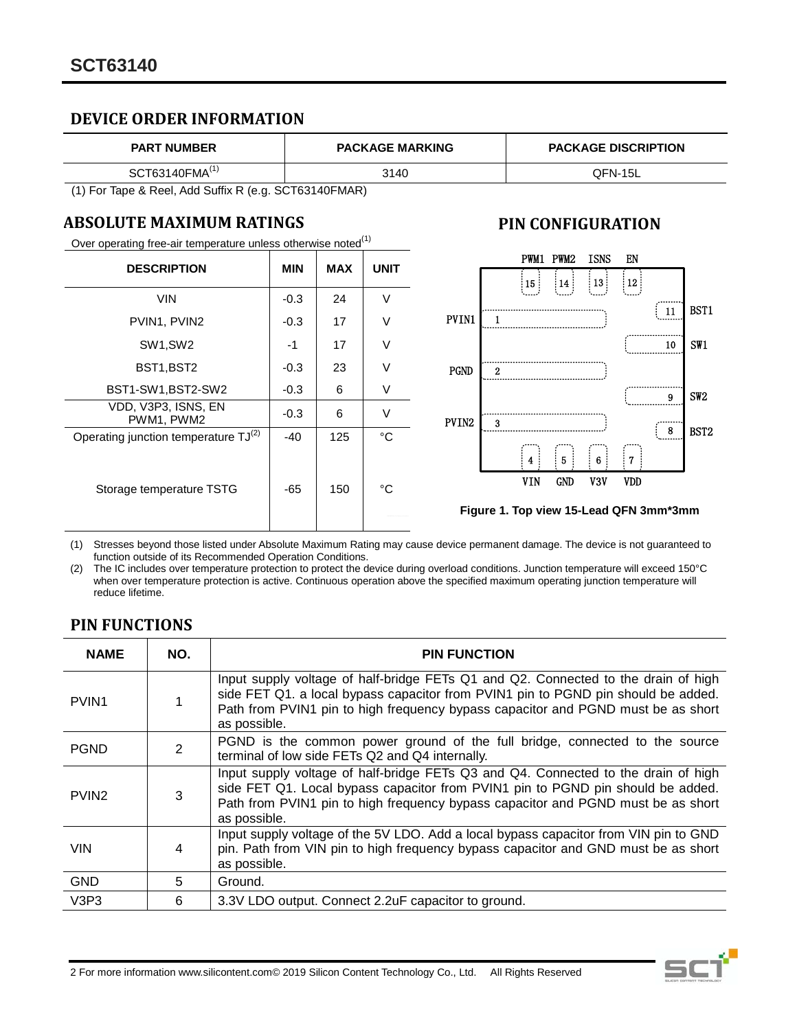## **DEVICE ORDER INFORMATION**

| <b>PART NUMBER</b>         | <b>PACKAGE MARKING</b> | <b>PACKAGE DISCRIPTION</b> |
|----------------------------|------------------------|----------------------------|
| SCT63140FMA <sup>(1)</sup> | 3140                   | QFN-15L                    |

(1) For Tape & Reel, Add Suffix R (e.g. SCT63140FMAR)

## **ABSOLUTE MAXIMUM RATINGS**

Over operating free-air temperature unless otherwise noted $(1)$ 

| <b>DESCRIPTION</b>                               | <b>MIN</b> | <b>MAX</b> | <b>UNIT</b> |
|--------------------------------------------------|------------|------------|-------------|
| <b>VIN</b>                                       | $-0.3$     | 24         | V           |
| PVIN1, PVIN2                                     | $-0.3$     | 17         | V           |
| SW <sub>1</sub> , SW <sub>2</sub>                | $-1$       | 17         | V           |
| BST1, BST2                                       | $-0.3$     | 23         | V           |
| BST1-SW1, BST2-SW2                               | $-0.3$     | 6          | V           |
| VDD, V3P3, ISNS, EN<br>PWM1, PWM2                | $-0.3$     | 6          | V           |
| Operating junction temperature TJ <sup>(2)</sup> | $-40$      | 125        | °C          |
| Storage temperature TSTG                         | -65        | 150        | °C          |

## **PIN CONFIGURATION**



**Figure 1. Top view 15-Lead QFN 3mm\*3mm**

(1) Stresses beyond those listed under Absolute Maximum Rating may cause device permanent damage. The device is not guaranteed to function outside of its Recommended Operation Conditions.

(2) The IC includes over temperature protection to protect the device during overload conditions. Junction temperature will exceed 150°C when over temperature protection is active. Continuous operation above the specified maximum operating junction temperature will reduce lifetime.

# **PIN FUNCTIONS**

| <b>NAME</b>       | NO.            | <b>PIN FUNCTION</b>                                                                                                                                                                                                                                                         |
|-------------------|----------------|-----------------------------------------------------------------------------------------------------------------------------------------------------------------------------------------------------------------------------------------------------------------------------|
| PVIN <sub>1</sub> |                | Input supply voltage of half-bridge FETs Q1 and Q2. Connected to the drain of high<br>side FET Q1. a local bypass capacitor from PVIN1 pin to PGND pin should be added.<br>Path from PVIN1 pin to high frequency bypass capacitor and PGND must be as short<br>as possible. |
| <b>PGND</b>       | $\overline{2}$ | PGND is the common power ground of the full bridge, connected to the source<br>terminal of low side FETs Q2 and Q4 internally.                                                                                                                                              |
| PVIN <sub>2</sub> | 3              | Input supply voltage of half-bridge FETs Q3 and Q4. Connected to the drain of high<br>side FET Q1. Local bypass capacitor from PVIN1 pin to PGND pin should be added.<br>Path from PVIN1 pin to high frequency bypass capacitor and PGND must be as short<br>as possible.   |
| <b>VIN</b>        | 4              | Input supply voltage of the 5V LDO. Add a local bypass capacitor from VIN pin to GND<br>pin. Path from VIN pin to high frequency bypass capacitor and GND must be as short<br>as possible.                                                                                  |
| <b>GND</b>        | 5              | Ground.                                                                                                                                                                                                                                                                     |
| V3P3              | 6              | 3.3V LDO output. Connect 2.2uF capacitor to ground.                                                                                                                                                                                                                         |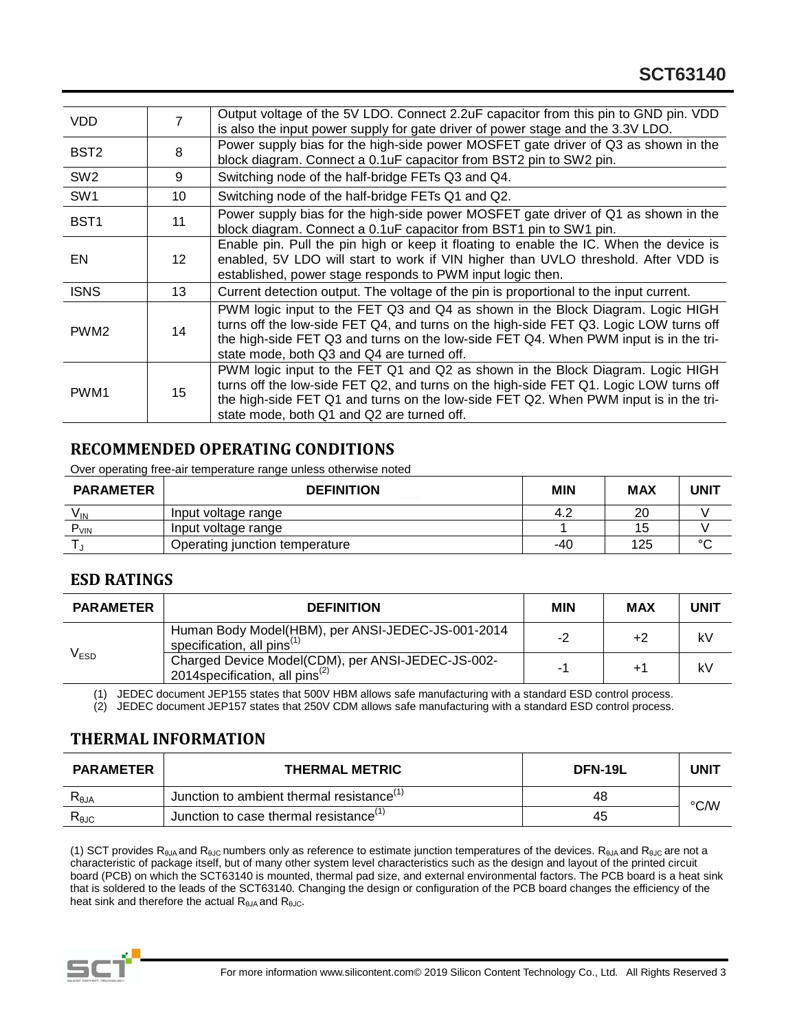| VDD.             |                 | Output voltage of the 5V LDO. Connect 2.2uF capacitor from this pin to GND pin. VDD<br>is also the input power supply for gate driver of power stage and the 3.3V LDO.                                                                                                                                        |
|------------------|-----------------|---------------------------------------------------------------------------------------------------------------------------------------------------------------------------------------------------------------------------------------------------------------------------------------------------------------|
| BST <sub>2</sub> | 8               | Power supply bias for the high-side power MOSFET gate driver of Q3 as shown in the<br>block diagram. Connect a 0.1uF capacitor from BST2 pin to SW2 pin.                                                                                                                                                      |
| SW <sub>2</sub>  | 9               | Switching node of the half-bridge FETs Q3 and Q4.                                                                                                                                                                                                                                                             |
| SW <sub>1</sub>  | 10              | Switching node of the half-bridge FETs Q1 and Q2.                                                                                                                                                                                                                                                             |
| BST <sub>1</sub> | 11              | Power supply bias for the high-side power MOSFET gate driver of Q1 as shown in the<br>block diagram. Connect a 0.1uF capacitor from BST1 pin to SW1 pin.                                                                                                                                                      |
| EN               | 12 <sup>°</sup> | Enable pin. Pull the pin high or keep it floating to enable the IC. When the device is<br>enabled, 5V LDO will start to work if VIN higher than UVLO threshold. After VDD is<br>established, power stage responds to PWM input logic then.                                                                    |
| <b>ISNS</b>      | 13              | Current detection output. The voltage of the pin is proportional to the input current.                                                                                                                                                                                                                        |
| PWM <sub>2</sub> | 14              | PWM logic input to the FET Q3 and Q4 as shown in the Block Diagram. Logic HIGH<br>turns off the low-side FET Q4, and turns on the high-side FET Q3. Logic LOW turns off<br>the high-side FET Q3 and turns on the low-side FET Q4. When PWM input is in the tri-<br>state mode, both Q3 and Q4 are turned off. |
| PWM <sub>1</sub> | 15              | PWM logic input to the FET Q1 and Q2 as shown in the Block Diagram. Logic HIGH<br>turns off the low-side FET Q2, and turns on the high-side FET Q1. Logic LOW turns off<br>the high-side FET Q1 and turns on the low-side FET Q2. When PWM input is in the tri-<br>state mode, both Q1 and Q2 are turned off. |

## **RECOMMENDED OPERATING CONDITIONS**

Over operating free-air temperature range unless otherwise noted

| <b>PARAMETER</b> | <b>DEFINITION</b><br>The property of a Constitution of the Conference | MIN | MAX | UNIT   |
|------------------|-----------------------------------------------------------------------|-----|-----|--------|
| V <sub>IN</sub>  | Input voltage range                                                   | 4.2 | 20  |        |
| P <sub>VIN</sub> | Input voltage range                                                   |     | 15  |        |
|                  | Operating junction temperature                                        | -40 | 125 | $\sim$ |

## **ESD RATINGS**

| <b>PARAMETER</b> | <b>DEFINITION</b>                                                                                | <b>MIN</b> | MAX         | <b>UNIT</b> |
|------------------|--------------------------------------------------------------------------------------------------|------------|-------------|-------------|
| V <sub>ESD</sub> | Human Body Model(HBM), per ANSI-JEDEC-JS-001-2014<br>specification, all pins <sup>(1)</sup>      | $-2$       | +2          | kV          |
|                  | Charged Device Model(CDM), per ANSI-JEDEC-JS-002-<br>2014 specification, all pins <sup>(2)</sup> |            | $+^{\circ}$ | kV          |

(1) JEDEC document JEP155 states that 500V HBM allows safe manufacturing with a standard ESD control process.

 $(2)$  JEDEC document JEP157 states that 250V CDM allows safe manufacturing with a standard ESD control process.

# **THERMAL INFORMATION**

| <b>PARAMETER</b> | <b>THERMAL METRIC</b>                                 | <b>DFN-19L</b> | UNIT |
|------------------|-------------------------------------------------------|----------------|------|
| $R_{\theta$ JA   | Junction to ambient thermal resistance <sup>(1)</sup> | 48             | °C/W |
| $R_{\theta$ JC   | Junction to case thermal resistance '                 | 45             |      |

(1) SCT provides R<sub>θJA</sub> and R<sub>θJC</sub> numbers only as reference to estimate junction temperatures of the devices. R<sub>θJA</sub> and R<sub>θJC</sub> are not a characteristic of package itself, but of many other system level characteristics such as the design and layout of the printed circuit board (PCB) on which the SCT63140 is mounted, thermal pad size, and external environmental factors. The PCB board is a heat sink that is soldered to the leads of the SCT63140. Changing the design or configuration of the PCB board changes the efficiency of the heat sink and therefore the actual  $R_{\theta JA}$  and  $R_{\theta JC}$ .

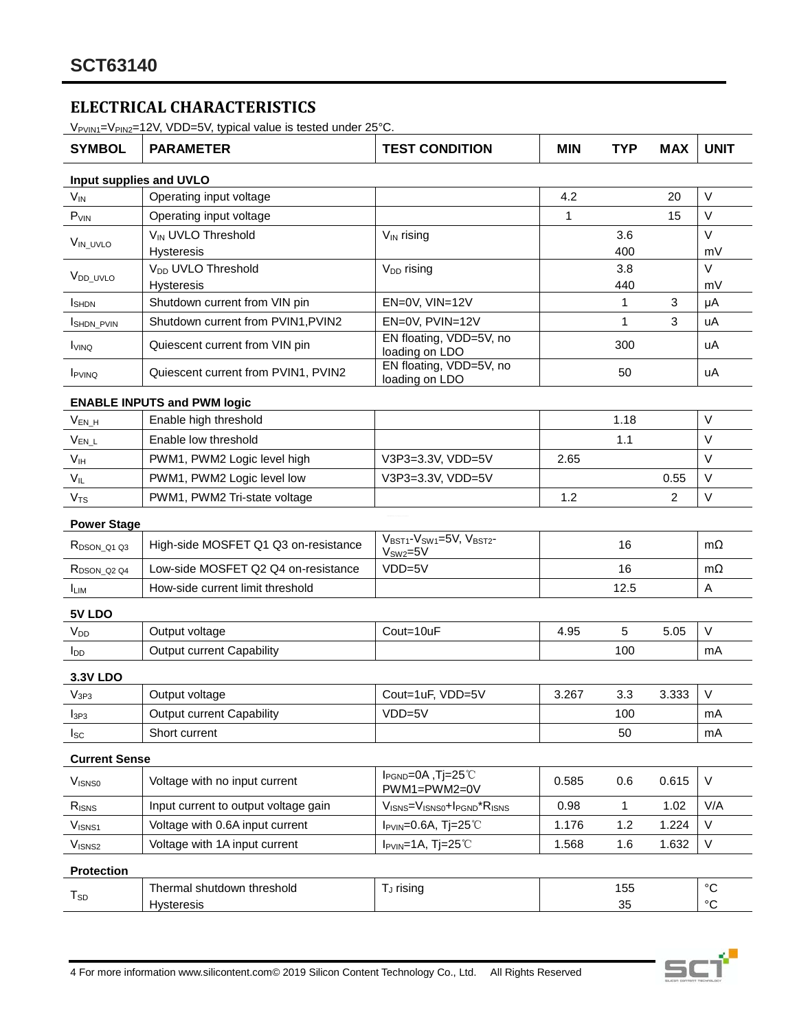# **ELECTRICAL CHARACTERISTICS**

 $V_{PVIN1}=V_{PIN2}=12V$ , VDD=5V, typical value is tested under 25°C.

| <b>SYMBOL</b>           | <b>PARAMETER</b>                                   | <b>TEST CONDITION</b>                                                    | <b>MIN</b> | <b>TYP</b> | <b>MAX</b> | <b>UNIT</b>                      |
|-------------------------|----------------------------------------------------|--------------------------------------------------------------------------|------------|------------|------------|----------------------------------|
|                         | Input supplies and UVLO                            |                                                                          |            |            |            |                                  |
| $V_{IN}$                | Operating input voltage                            |                                                                          | 4.2        |            | 20         | $\vee$                           |
| P <sub>VIN</sub>        | Operating input voltage                            |                                                                          | 1          |            | 15         | $\vee$                           |
| V <sub>IN_UVLO</sub>    | VIN UVLO Threshold                                 | V <sub>IN</sub> rising                                                   |            | 3.6        |            | $\vee$                           |
|                         | <b>Hysteresis</b>                                  |                                                                          |            | 400        |            | mV                               |
| V <sub>DD_UVLO</sub>    | V <sub>DD</sub> UVLO Threshold                     | $V_{DD}$ rising                                                          |            | 3.8        |            | $\vee$                           |
|                         | <b>Hysteresis</b><br>Shutdown current from VIN pin |                                                                          |            | 440        |            | mV                               |
| <b>I</b> SHDN           |                                                    | EN=0V, VIN=12V                                                           |            | 1          | 3          | μA                               |
| SHDN_PVIN               | Shutdown current from PVIN1, PVIN2                 | EN=0V, PVIN=12V<br>EN floating, VDD=5V, no                               |            | 1          | 3          | uA                               |
| <b>I</b> VINQ           | Quiescent current from VIN pin                     | loading on LDO                                                           |            | 300        |            | uA                               |
| <b>I</b> PVINQ          | Quiescent current from PVIN1, PVIN2                | EN floating, VDD=5V, no<br>loading on LDO                                |            | 50         |            | uA                               |
|                         | <b>ENABLE INPUTS and PWM logic</b>                 |                                                                          |            |            |            |                                  |
| $V_{EN_H}$              | Enable high threshold                              |                                                                          |            | 1.18       |            | V                                |
| $V_{EN\_L}$             | Enable low threshold                               |                                                                          |            | 1.1        |            | $\vee$                           |
| V <sub>IH</sub>         | PWM1, PWM2 Logic level high                        | V3P3=3.3V, VDD=5V                                                        | 2.65       |            |            | $\vee$                           |
| $V_{IL}$                | PWM1, PWM2 Logic level low                         | V3P3=3.3V, VDD=5V                                                        |            |            | 0.55       | $\vee$                           |
| V <sub>TS</sub>         | PWM1, PWM2 Tri-state voltage                       |                                                                          | 1.2        |            | 2          | V                                |
| <b>Power Stage</b>      |                                                    |                                                                          |            |            |            |                                  |
| $R_{DSON_21Q3}$         | High-side MOSFET Q1 Q3 on-resistance               | VBST1-VSW1=5V, VBST2-<br>$V_{SW2}=5V$                                    |            | 16         |            | $m\Omega$                        |
| R <sub>DSON_Q2</sub> Q4 | Low-side MOSFET Q2 Q4 on-resistance                | $VDD=5V$                                                                 |            | 16         |            | $m\Omega$                        |
| <b>ILIM</b>             | How-side current limit threshold                   |                                                                          |            | 12.5       |            | A                                |
| 5V LDO                  |                                                    |                                                                          |            |            |            |                                  |
| V <sub>DD</sub>         | Output voltage                                     | Cout=10uF                                                                | 4.95       | 5          | 5.05       | $\vee$                           |
| $I_{DD}$                | Output current Capability                          |                                                                          |            | 100        |            | mA                               |
| <b>3.3V LDO</b>         |                                                    |                                                                          |            |            |            |                                  |
| V <sub>3P3</sub>        | Output voltage                                     | Cout=1uF, VDD=5V                                                         | 3.267      | 3.3        | 3.333      | $\vee$                           |
| l <sub>3P3</sub>        | <b>Output current Capability</b>                   | $VDD=5V$                                                                 |            | 100        |            | mA                               |
| $I_{SC}$                | Short current                                      |                                                                          |            | 50         |            | mA                               |
| <b>Current Sense</b>    |                                                    |                                                                          |            |            |            |                                  |
| <b>VISNSO</b>           | Voltage with no input current                      | l <sub>PGND</sub> =0A, Tj=25°C<br>PWM1=PWM2=0V                           | 0.585      | 0.6        | 0.615      | V                                |
| $R_{\text{ISNS}}$       | Input current to output voltage gain               | $V_{\text{ISNS}} = V_{\text{ISNS0}} + I_{\text{PGND}} * R_{\text{ISNS}}$ | 0.98       | 1          | 1.02       | V/A                              |
| $V_{ISNS1}$             | Voltage with 0.6A input current                    | $I_{PVIN} = 0.6A$ , Tj=25°C                                              | 1.176      | 1.2        | 1.224      | V                                |
| V <sub>ISNS2</sub>      | Voltage with 1A input current                      | $I_{PVIN} = 1A$ , Tj=25°C                                                | 1.568      | 1.6        | 1.632      | V                                |
| <b>Protection</b>       |                                                    |                                                                          |            |            |            |                                  |
| $T_{SD}$                | Thermal shutdown threshold<br>Hysteresis           | T <sub>J</sub> rising                                                    |            | 155<br>35  |            | $^{\circ}{\rm C}$<br>$^{\circ}C$ |

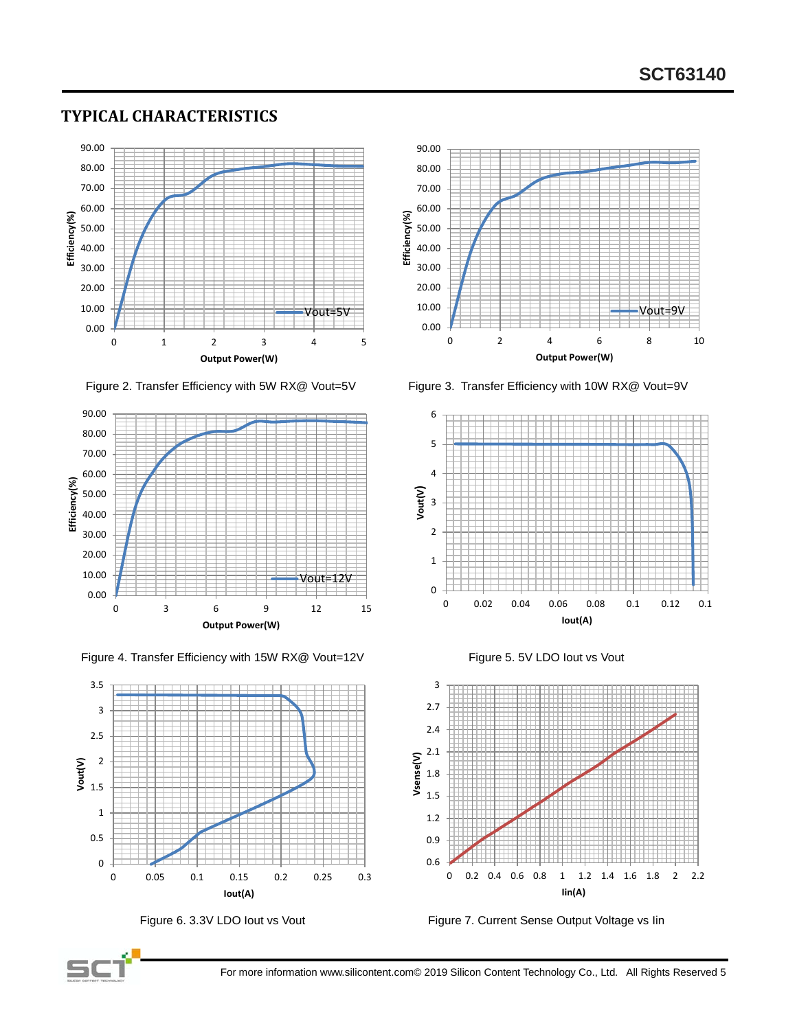# **TYPICAL CHARACTERISTICS**



Figure 2. Transfer Efficiency with 5W RX@ Vout=5V Figure 3. Transfer Efficiency with 10W RX@ Vout=9V



Figure 4. Transfer Efficiency with 15W RX@ Vout=12V Figure 5. 5V LDO lout vs Vout













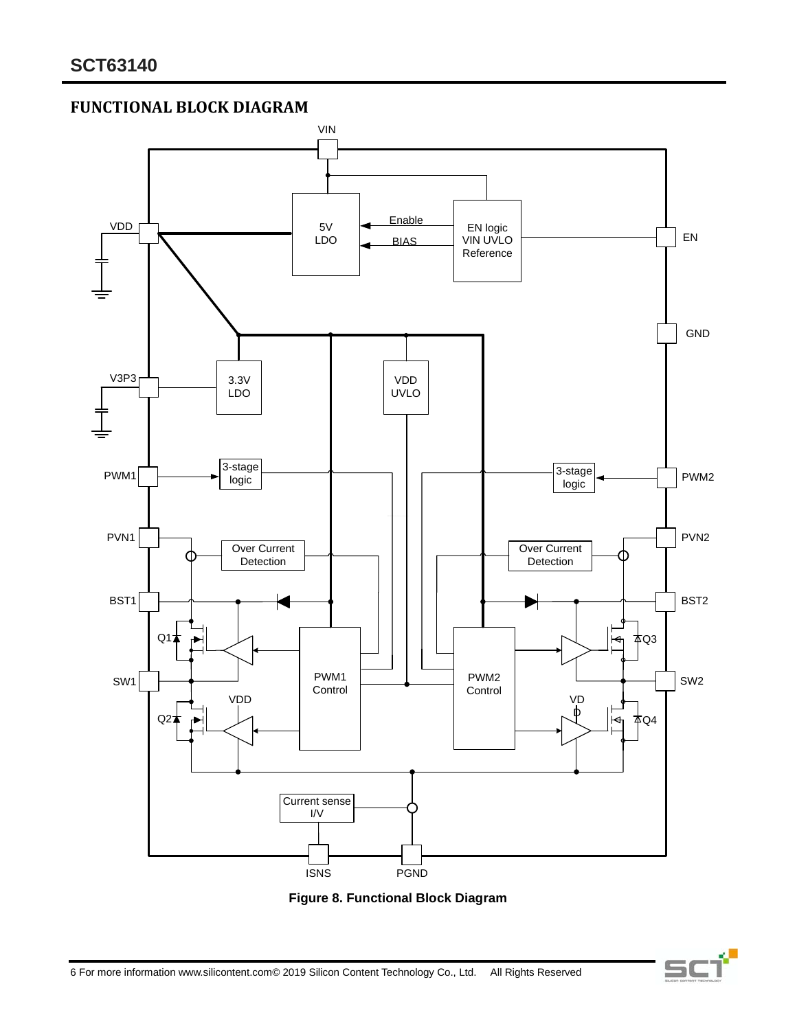**FUNCTIONAL BLOCK DIAGRAM**





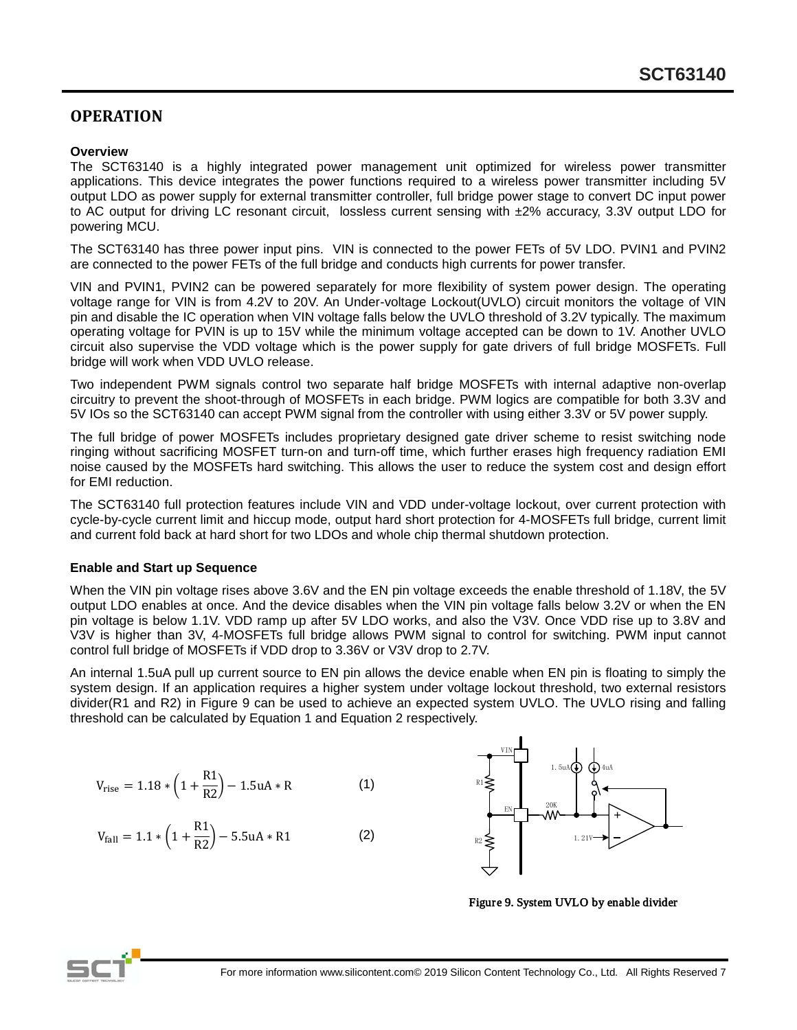## **OPERATION**

#### **Overview**

The SCT63140 is a highly integrated power management unit optimized for wireless power transmitter applications. This device integrates the power functions required to a wireless power transmitter including 5V output LDO as power supply for external transmitter controller, full bridge power stage to convert DC input power to AC output for driving LC resonant circuit, lossless current sensing with ±2% accuracy, 3.3V output LDO for powering MCU.

The SCT63140 has three power input pins. VIN is connected to the power FETs of 5V LDO. PVIN1 and PVIN2 are connected to the power FETs of the full bridge and conducts high currents for power transfer.

VIN and PVIN1, PVIN2 can be powered separately for more flexibility of system power design. The operating voltage range for VIN is from 4.2V to 20V. An Under-voltage Lockout(UVLO) circuit monitors the voltage of VIN pin and disable the IC operation when VIN voltage falls below the UVLO threshold of 3.2V typically. The maximum operating voltage for PVIN is up to 15V while the minimum voltage accepted can be down to 1V. Another UVLO circuit also supervise the VDD voltage which is the power supply for gate drivers of full bridge MOSFETs. Full bridge will work when VDD UVLO release.

Two independent PWM signals control two separate half bridge MOSFETs with internal adaptive non-overlap circuitry to prevent the shoot-through of MOSFETs in each bridge. PWM logics are compatible for both 3.3V and 5V IOs so the SCT63140 can accept PWM signal from the controller with using either 3.3V or 5V power supply.

The full bridge of power MOSFETs includes proprietary designed gate driver scheme to resist switching node ringing without sacrificing MOSFET turn-on and turn-off time, which further erases high frequency radiation EMI noise caused by the MOSFETs hard switching. This allows the user to reduce the system cost and design effort for EMI reduction.

The SCT63140 full protection features include VIN and VDD under-voltage lockout, over current protection with cycle-by-cycle current limit and hiccup mode, output hard short protection for 4-MOSFETs full bridge, current limit and current fold back at hard short for two LDOs and whole chip thermal shutdown protection.

#### **Enable and Start up Sequence**

When the VIN pin voltage rises above 3.6V and the EN pin voltage exceeds the enable threshold of 1.18V, the 5V output LDO enables at once. And the device disables when the VIN pin voltage falls below 3.2V or when the EN pin voltage is below 1.1V. VDD ramp up after 5V LDO works, and also the V3V. Once VDD rise up to 3.8V and V3V is higher than 3V, 4-MOSFETs full bridge allows PWM signal to control for switching. PWM input cannot control full bridge of MOSFETs if VDD drop to 3.36V or V3V drop to 2.7V.

An internal 1.5uA pull up current source to EN pin allows the device enable when EN pin is floating to simply the system design. If an application requires a higher system under voltage lockout threshold, two external resistors divider(R1 and R2) in Figure 9 can be used to achieve an expected system UVLO. The UVLO rising and falling threshold can be calculated by Equation 1 and Equation 2 respectively.

$$
V_{\text{rise}} = 1.18 * \left(1 + \frac{R1}{R2}\right) - 1.5uA * R \tag{1}
$$

$$
V_{fall} = 1.1 * \left(1 + \frac{R1}{R2}\right) - 5.5uA * R1
$$
 (2)



Figure 9. System UVLO by enable divider

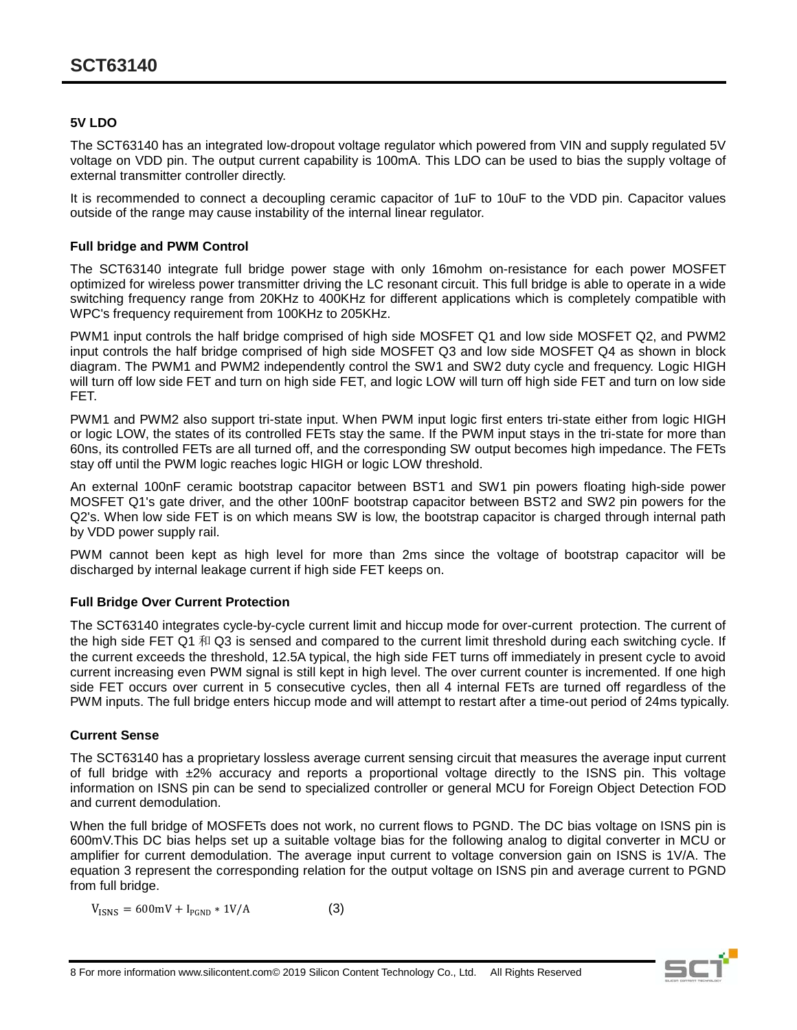### **5V LDO**

The SCT63140 has an integrated low-dropout voltage regulator which powered from VIN and supply regulated 5V voltage on VDD pin. The output current capability is 100mA. This LDO can be used to bias the supply voltage of external transmitter controller directly.

It is recommended to connect a decoupling ceramic capacitor of 1uF to 10uF to the VDD pin. Capacitor values outside of the range may cause instability of the internal linear regulator.

### **Full bridge and PWM Control**

The SCT63140 integrate full bridge power stage with only 16mohm on-resistance for each power MOSFET optimized for wireless power transmitter driving the LC resonant circuit. This full bridge is able to operate in a wide switching frequency range from 20KHz to 400KHz for different applications which is completely compatible with WPC's frequency requirement from 100KHz to 205KHz.

PWM1 input controls the half bridge comprised of high side MOSFET Q1 and low side MOSFET Q2, and PWM2 input controls the half bridge comprised of high side MOSFET Q3 and low side MOSFET Q4 as shown in block diagram. The PWM1 and PWM2 independently control the SW1 and SW2 duty cycle and frequency. Logic HIGH will turn off low side FET and turn on high side FET, and logic LOW will turn off high side FET and turn on low side FET.

PWM1 and PWM2 also support tri-state input. When PWM input logic first enters tri-state either from logic HIGH or logic LOW, the states of its controlled FETs stay the same. If the PWM input stays in the tri-state for more than 60ns, its controlled FETs are all turned off, and the corresponding SW output becomes high impedance. The FETs stay off until the PWM logic reaches logic HIGH or logic LOW threshold.

Q2's. When low side FET is on which means SW is low, the bootstrap capacitor is charged through internal path An external 100nF ceramic bootstrap capacitor between BST1 and SW1 pin powers floating high-side power MOSFET Q1's gate driver, and the other 100nF bootstrap capacitor between BST2 and SW2 pin powers for the by VDD power supply rail.

PWM cannot been kept as high level for more than 2ms since the voltage of bootstrap capacitor will be discharged by internal leakage current if high side FET keeps on.

### **Full Bridge Over Current Protection**

The SCT63140 integrates cycle-by-cycle current limit and hiccup mode for over-current protection. The current of the high side FET Q1 和 Q3 is sensed and compared to the current limit threshold during each switching cycle. If the current exceeds the threshold, 12.5A typical, the high side FET turns off immediately in present cycle to avoid current increasing even PWM signal is still kept in high level. The over current counter is incremented. If one high side FET occurs over current in 5 consecutive cycles, then all 4 internal FETs are turned off regardless of the PWM inputs. The full bridge enters hiccup mode and will attempt to restart after a time-out period of 24ms typically.

### **Current Sense**

The SCT63140 has a proprietary lossless average current sensing circuit that measures the average input current of full bridge with  $\pm 2\%$  accuracy and reports a proportional voltage directly to the ISNS pin. This voltage information on ISNS pin can be send to specialized controller or general MCU for Foreign Object Detection FOD and current demodulation.

When the full bridge of MOSFETs does not work, no current flows to PGND. The DC bias voltage on ISNS pin is 600mV.This DC bias helps set up a suitable voltage bias for the following analog to digital converter in MCU or amplifier for current demodulation. The average input current to voltage conversion gain on ISNS is 1V/A. The equation 3 represent the corresponding relation for the output voltage on ISNS pin and average current to PGND from full bridge.

$$
V_{ISNS} = 600 \text{mV} + I_{PGND} * 1 \text{V/A}
$$
 (3)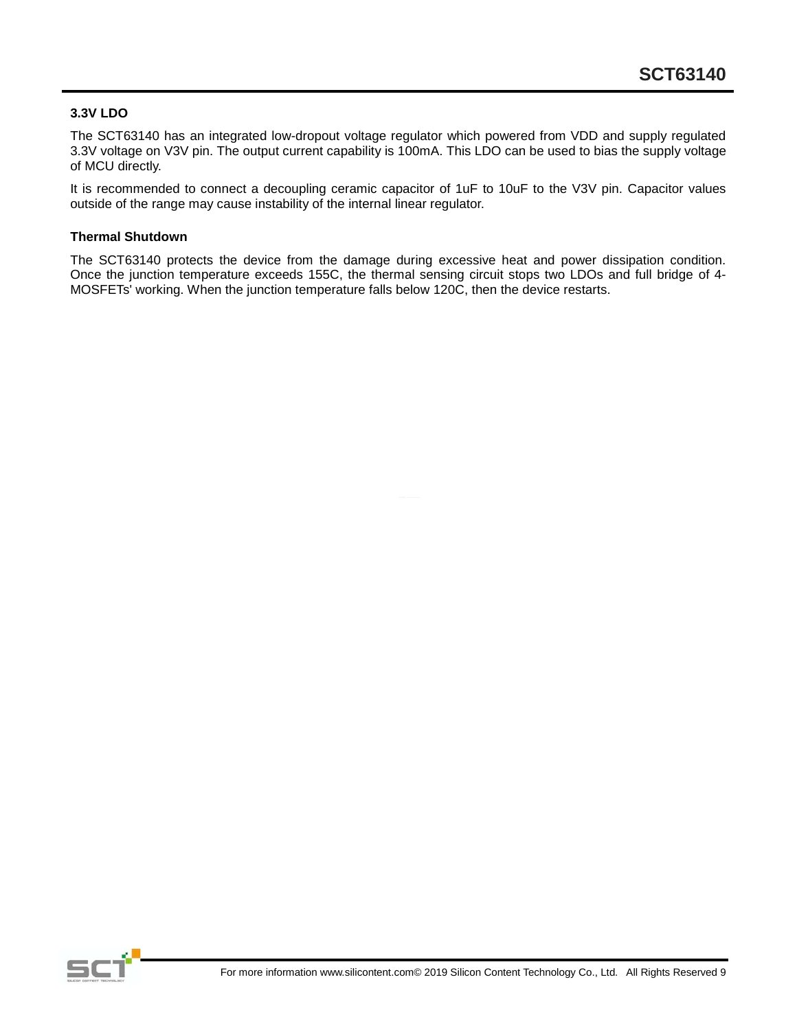### **3.3V LDO**

The SCT63140 has an integrated low-dropout voltage regulator which powered from VDD and supply regulated 3.3V voltage on V3V pin. The output current capability is 100mA. This LDO can be used to bias the supply voltage of MCU directly.

It is recommended to connect a decoupling ceramic capacitor of 1uF to 10uF to the V3V pin. Capacitor values outside of the range may cause instability of the internal linear regulator.

#### **Thermal Shutdown**

The SCT63140 protects the device from the damage during excessive heat and power dissipation condition. Once the junction temperature exceeds 155C, the thermal sensing circuit stops two LDOs and full bridge of 4-MOSFETs' working. When the junction temperature falls below 120C, then the device restarts.

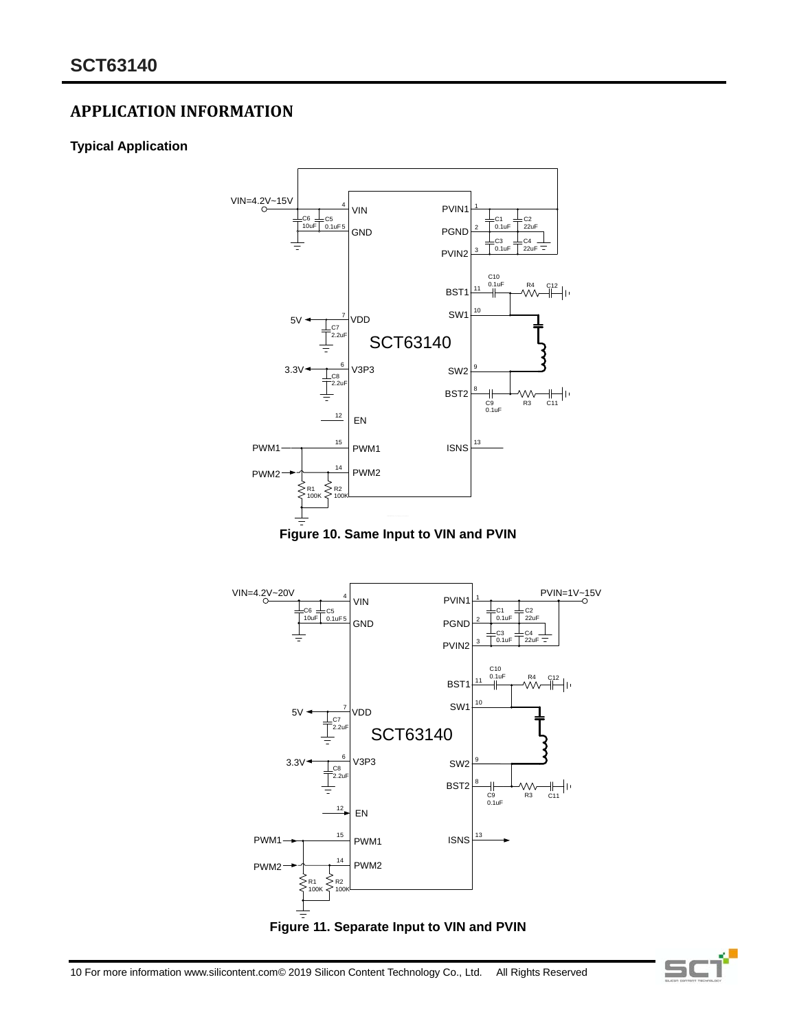## **APPLICATION INFORMATION**

## **Typical Application**









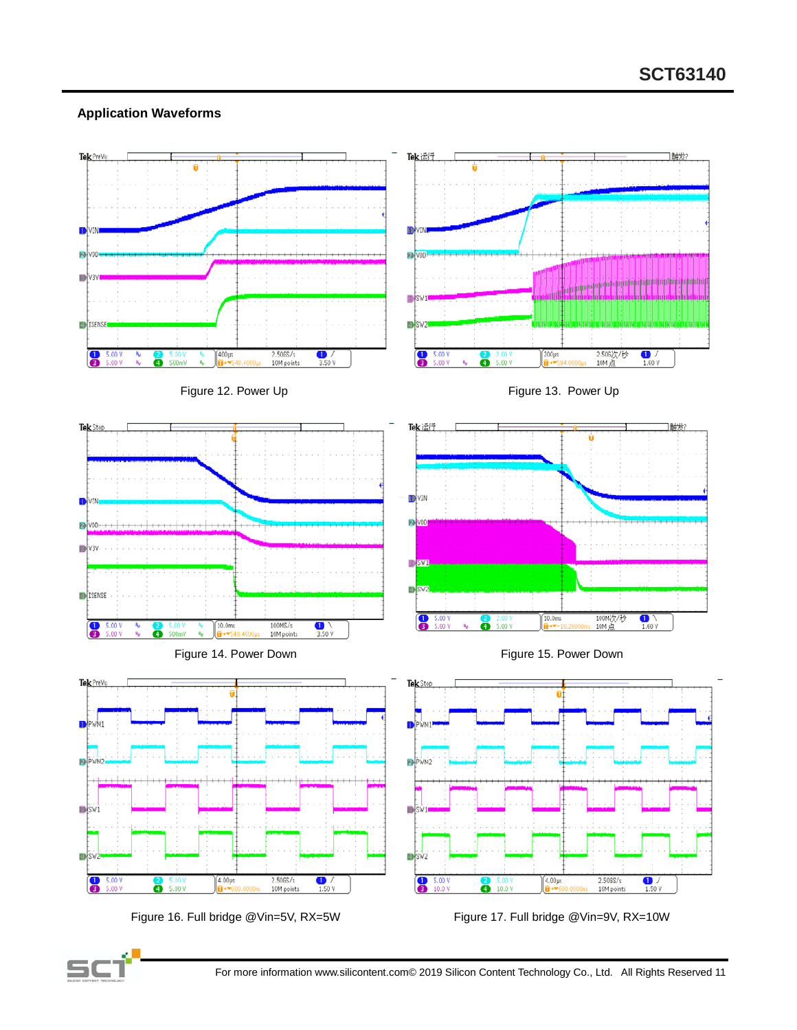### **Application Waveforms**



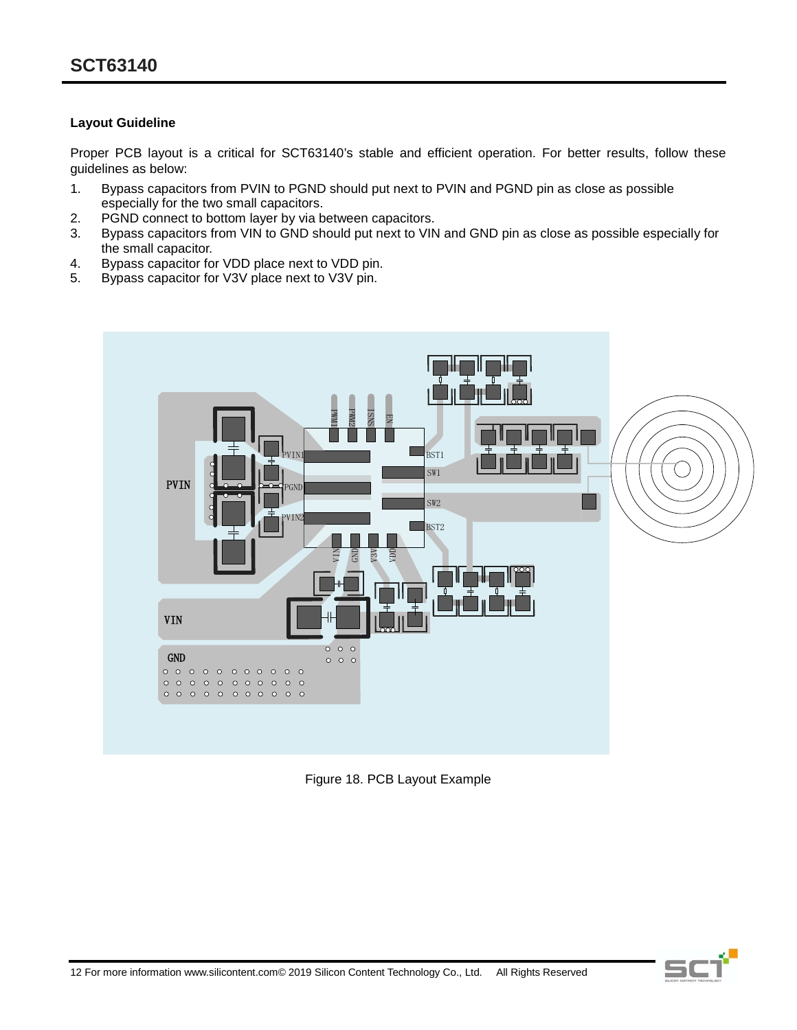### **Layout Guideline**

Proper PCB layout is a critical for SCT63140's stable and efficient operation. For better results, follow these guidelines as below:

- 1. Bypass capacitors from PVIN to PGND should put next to PVIN and PGND pin as close as possible especially for the two small capacitors.
- 2. PGND connect to bottom layer by via between capacitors.
- 3. Bypass capacitors from VIN to GND should put next to VIN and GND pin as close as possible especially for the small capacitor.
- 4. Bypass capacitor for VDD place next to VDD pin.
- 5. Bypass capacitor for V3V place next to V3V pin.



Figure 18. PCB Layout Example

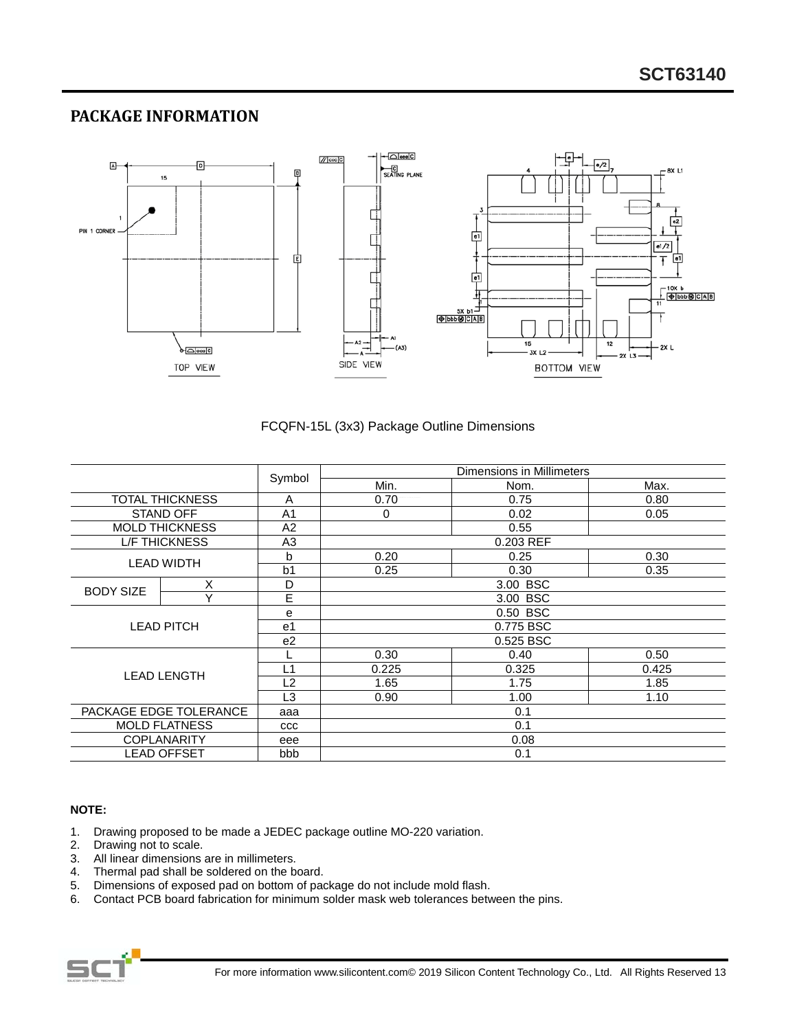# PACKAGE INFORMATION



#### FCQFN-15L (3x3) Package Outline Dimensions

|                        |                        |                | Dimensions in Millimeters |       |       |
|------------------------|------------------------|----------------|---------------------------|-------|-------|
|                        |                        | Symbol         | Min.                      | Nom.  | Max.  |
|                        | <b>TOTAL THICKNESS</b> | A              | 0.70                      | 0.75  | 0.80  |
|                        | STAND OFF              | A <sub>1</sub> | 0                         | 0.02  | 0.05  |
|                        | <b>MOLD THICKNESS</b>  | A2             | 0.55                      |       |       |
|                        | <b>L/F THICKNESS</b>   | A <sub>3</sub> | 0.203 REF                 |       |       |
|                        | <b>LEAD WIDTH</b>      | b              | 0.20                      | 0.25  | 0.30  |
|                        |                        | b <sub>1</sub> | 0.25                      | 0.30  | 0.35  |
| <b>BODY SIZE</b>       | X                      | D              | 3.00 BSC                  |       |       |
|                        | Y                      | E              | 3.00 BSC                  |       |       |
|                        |                        | e              | 0.50 BSC                  |       |       |
|                        | <b>LEAD PITCH</b>      | e1             | 0.775 BSC                 |       |       |
|                        |                        | e <sub>2</sub> | 0.525 BSC                 |       |       |
|                        |                        |                | 0.30                      | 0.40  | 0.50  |
|                        |                        | L1             | 0.225                     | 0.325 | 0.425 |
| <b>LEAD LENGTH</b>     |                        | L <sub>2</sub> | 1.65                      | 1.75  | 1.85  |
|                        |                        | L3             | 0.90                      | 1.00  | 1.10  |
| PACKAGE EDGE TOLERANCE |                        | aaa            | 0.1                       |       |       |
| <b>MOLD FLATNESS</b>   |                        | ccc            | 0.1                       |       |       |
|                        | <b>COPLANARITY</b>     | eee            | 0.08                      |       |       |
| <b>LEAD OFFSET</b>     |                        | bbb            |                           | 0.1   |       |

#### NOTE:

- Drawing proposed to be made a JEDEC package outline MO-220 variation.  $1.$
- $2.$ Drawing not to scale.
- 3. All linear dimensions are in millimeters.
- Thermal pad shall be soldered on the board. 4.
- $5.$ Dimensions of exposed pad on bottom of package do not include mold flash.
- 6. Contact PCB board fabrication for minimum solder mask web tolerances between the pins.

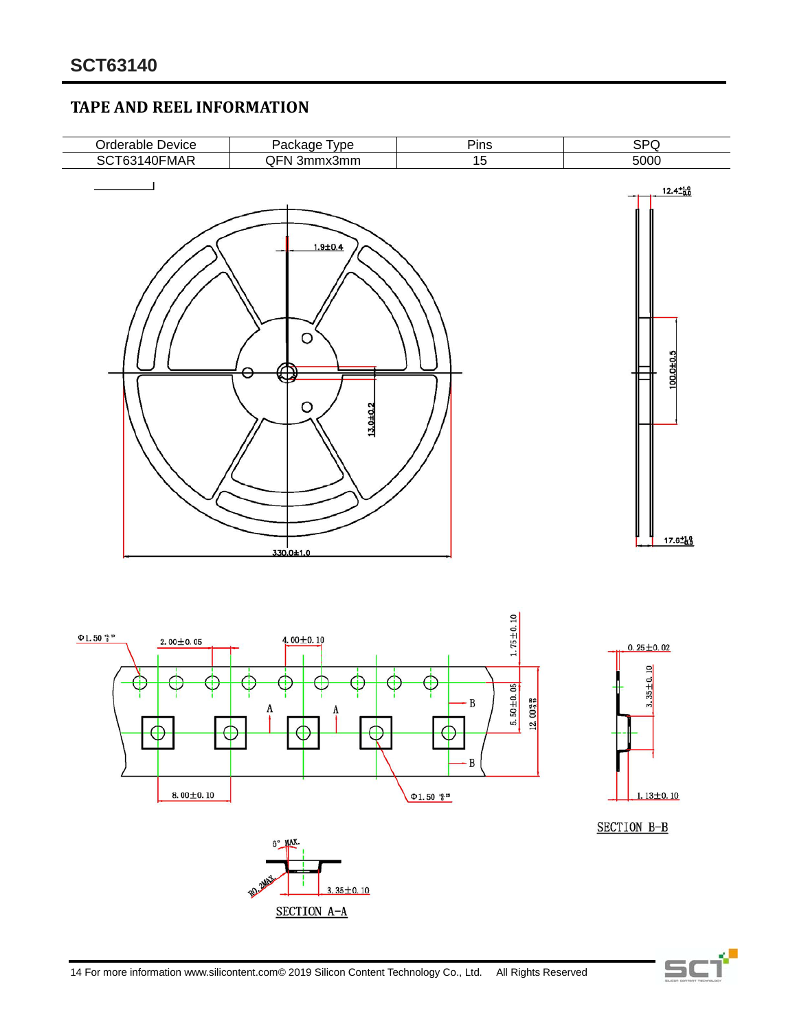## **TAPE AND REEL INFORMATION**